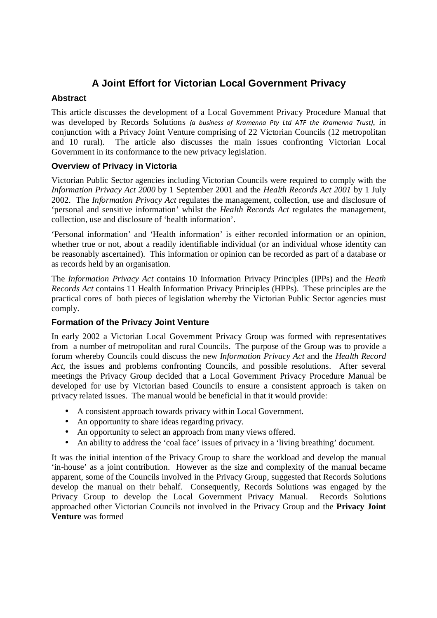# **A Joint Effort for Victorian Local Government Privacy**

# **Abstract**

This article discusses the development of a Local Government Privacy Procedure Manual that was developed by Records Solutions (a business of Kramenna Pty Ltd ATF the Kramenna Trust), in conjunction with a Privacy Joint Venture comprising of 22 Victorian Councils (12 metropolitan and 10 rural). The article also discusses the main issues confronting Victorian Local Government in its conformance to the new privacy legislation.

## **Overview of Privacy in Victoria**

Victorian Public Sector agencies including Victorian Councils were required to comply with the *Information Privacy Act 2000* by 1 September 2001 and the *Health Records Act 2001* by 1 July 2002. The *Information Privacy Act* regulates the management, collection, use and disclosure of 'personal and sensitive information' whilst the *Health Records Act* regulates the management, collection, use and disclosure of 'health information'.

'Personal information' and 'Health information' is either recorded information or an opinion, whether true or not, about a readily identifiable individual (or an individual whose identity can be reasonably ascertained). This information or opinion can be recorded as part of a database or as records held by an organisation.

The *Information Privacy Act* contains 10 Information Privacy Principles (IPPs) and the *Heath Records Act* contains 11 Health Information Privacy Principles (HPPs). These principles are the practical cores of both pieces of legislation whereby the Victorian Public Sector agencies must comply.

## **Formation of the Privacy Joint Venture**

In early 2002 a Victorian Local Government Privacy Group was formed with representatives from a number of metropolitan and rural Councils. The purpose of the Group was to provide a forum whereby Councils could discuss the new *Information Privacy Act* and the *Health Record Act*, the issues and problems confronting Councils, and possible resolutions. After several meetings the Privacy Group decided that a Local Government Privacy Procedure Manual be developed for use by Victorian based Councils to ensure a consistent approach is taken on privacy related issues. The manual would be beneficial in that it would provide:

- A consistent approach towards privacy within Local Government.
- An opportunity to share ideas regarding privacy.
- An opportunity to select an approach from many views offered.
- An ability to address the 'coal face' issues of privacy in a 'living breathing' document.

It was the initial intention of the Privacy Group to share the workload and develop the manual 'in-house' as a joint contribution. However as the size and complexity of the manual became apparent, some of the Councils involved in the Privacy Group, suggested that Records Solutions develop the manual on their behalf. Consequently, Records Solutions was engaged by the Privacy Group to develop the Local Government Privacy Manual. Records Solutions approached other Victorian Councils not involved in the Privacy Group and the **Privacy Joint Venture** was formed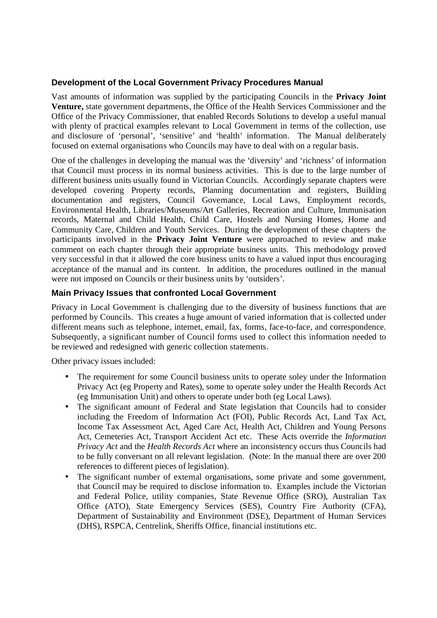#### **Development of the Local Government Privacy Procedures Manual**

Vast amounts of information was supplied by the participating Councils in the **Privacy Joint Venture,** state government departments, the Office of the Health Services Commissioner and the Office of the Privacy Commissioner, that enabled Records Solutions to develop a useful manual with plenty of practical examples relevant to Local Government in terms of the collection, use and disclosure of 'personal', 'sensitive' and 'health' information. The Manual deliberately focused on external organisations who Councils may have to deal with on a regular basis.

One of the challenges in developing the manual was the 'diversity' and 'richness' of information that Council must process in its normal business activities. This is due to the large number of different business units usually found in Victorian Councils. Accordingly separate chapters were developed covering Property records, Planning documentation and registers, Building documentation and registers, Council Governance, Local Laws, Employment records, Environmental Health, Libraries/Museums/Art Galleries, Recreation and Culture, Immunisation records, Maternal and Child Health, Child Care, Hostels and Nursing Homes, Home and Community Care, Children and Youth Services. During the development of these chapters the participants involved in the **Privacy Joint Venture** were approached to review and make comment on each chapter through their appropriate business units. This methodology proved very successful in that it allowed the core business units to have a valued input thus encouraging acceptance of the manual and its content. In addition, the procedures outlined in the manual were not imposed on Councils or their business units by 'outsiders'.

#### **Main Privacy Issues that confronted Local Government**

Privacy in Local Government is challenging due to the diversity of business functions that are performed by Councils. This creates a huge amount of varied information that is collected under different means such as telephone, internet, email, fax, forms, face-to-face, and correspondence. Subsequently, a significant number of Council forms used to collect this information needed to be reviewed and redesigned with generic collection statements.

Other privacy issues included:

- The requirement for some Council business units to operate soley under the Information Privacy Act (eg Property and Rates), some to operate soley under the Health Records Act (eg Immunisation Unit) and others to operate under both (eg Local Laws).
- The significant amount of Federal and State legislation that Councils had to consider including the Freedom of Information Act (FOI), Public Records Act, Land Tax Act, Income Tax Assessment Act, Aged Care Act, Health Act, Children and Young Persons Act, Cemeteries Act, Transport Accident Act etc. These Acts override the *Information Privacy Act* and the *Health Records Act* where an inconsistency occurs thus Councils had to be fully conversant on all relevant legislation. (Note: In the manual there are over 200 references to different pieces of legislation).
- The significant number of external organisations, some private and some government, that Council may be required to disclose information to. Examples include the Victorian and Federal Police, utility companies, State Revenue Office (SRO), Australian Tax Office (ATO), State Emergency Services (SES), Country Fire Authority (CFA), Department of Sustainability and Environment (DSE), Department of Human Services (DHS), RSPCA, Centrelink, Sheriffs Office, financial institutions etc.